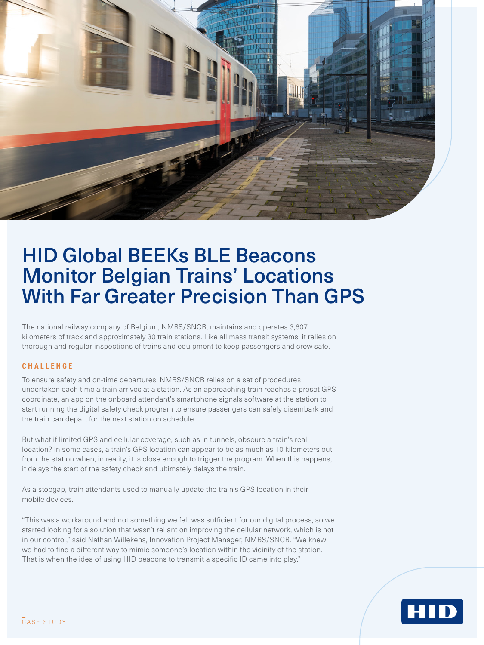

# HID Global BEEKs BLE Beacons Monitor Belgian Trains' Locations With Far Greater Precision Than GPS

The national railway company of Belgium, NMBS/SNCB, maintains and operates 3,607 kilometers of track and approximately 30 train stations. Like all mass transit systems, it relies on thorough and regular inspections of trains and equipment to keep passengers and crew safe.

## **CHALLENGE**

To ensure safety and on-time departures, NMBS/SNCB relies on a set of procedures undertaken each time a train arrives at a station. As an approaching train reaches a preset GPS coordinate, an app on the onboard attendant's smartphone signals software at the station to start running the digital safety check program to ensure passengers can safely disembark and the train can depart for the next station on schedule.

But what if limited GPS and cellular coverage, such as in tunnels, obscure a train's real location? In some cases, a train's GPS location can appear to be as much as 10 kilometers out from the station when, in reality, it is close enough to trigger the program. When this happens, it delays the start of the safety check and ultimately delays the train.

As a stopgap, train attendants used to manually update the train's GPS location in their mobile devices.

"This was a workaround and not something we felt was sufficient for our digital process, so we started looking for a solution that wasn't reliant on improving the cellular network, which is not in our control," said Nathan Willekens, Innovation Project Manager, NMBS/SNCB. "We knew we had to find a different way to mimic someone's location within the vicinity of the station. That is when the idea of using HID beacons to transmit a specific ID came into play."